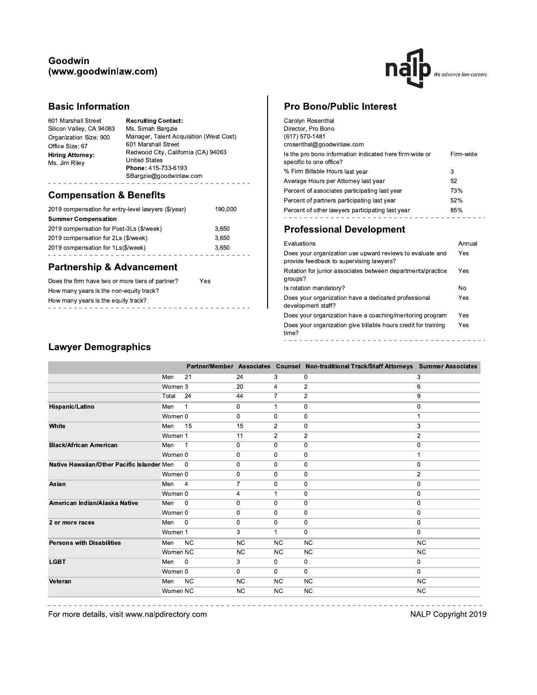### Goodwin (www.goodwinlaw.com)



### **Basic Information**

| 601 Marshall Street        | Ms. Simah Bargzie                       |
|----------------------------|-----------------------------------------|
| <b>Recruiting Contact:</b> | Manager, Talent Acquisition (West Cost) |
| Silicon Valley, CA 94063   | 601 Marshall Street                     |
| Organization Size: 900     | Redwood City, California (CA) 94063     |
| Office Size: 67            | <b>United States</b>                    |
| <b>Hiring Attorney:</b>    | Phone: 415-733-6193                     |
| Ms. Jim Rilev              | SBargzie@goodwinlaw.com                 |

## **Compensation & Benefits**

| 2019 compensation for entry-level lawyers (\$/year) | 190,000 |
|-----------------------------------------------------|---------|
| <b>Summer Compensation</b>                          |         |
| 2019 compensation for Post-3Ls (\$/week)            | 3,650   |
| 2019 compensation for 2Ls (\$/week)                 | 3.650   |
| 2019 compensation for 1Ls(\$/week)                  | 3.650   |
|                                                     |         |

# **Partnership & Advancement**

| Does the firm have two or more tiers of partner? | Yes |  |
|--------------------------------------------------|-----|--|
| How many years is the non-equity track?          |     |  |
| How many years is the equity track?              |     |  |
|                                                  |     |  |

## **Pro Bono/Public Interest**

| Carolyn Rosenthal<br>Director, Pro Bono<br>(617) 570-1481<br>crosenthal@goodwinlaw.com |           |
|----------------------------------------------------------------------------------------|-----------|
| Is the pro bono information indicated here firm-wide or<br>specific to one office?     | Firm-wide |
| % Firm Billable Hours last year                                                        | 3         |
| Average Hours per Attorney last year                                                   | 52        |
| Percent of associates participating last year                                          | 73%       |
| Percent of partners participating last year                                            | 52%       |
| Percent of other lawyers participating last year                                       | 85%       |
|                                                                                        |           |

## **Professional Development**

| Evaluations                                                                                           | Annual |
|-------------------------------------------------------------------------------------------------------|--------|
| Does your organization use upward reviews to evaluate and<br>provide feedback to supervising lawyers? | Yes    |
| Rotation for junior associates between departments/practice<br>groups?                                | Yes    |
| Is rotation mandatory?                                                                                | No     |
| Does your organization have a dedicated professional<br>development staff?                            | Yes    |
| Does your organization have a coaching/mentoring program                                              | Yes    |
| Does your organization give billable hours credit for training<br>time?                               | Yes    |
|                                                                                                       |        |

# **Lawyer Demographics**

|                                            |          |                |              |                | Partner/Member Associates Counsel Non-traditional Track/Staff Attorneys Summer Associates |                |
|--------------------------------------------|----------|----------------|--------------|----------------|-------------------------------------------------------------------------------------------|----------------|
|                                            | Men      | 21             | 24           | 3              | 0                                                                                         | 3              |
|                                            | Women 3  |                | 20           | 4              | $\overline{2}$                                                                            | 6              |
|                                            | Total    | 24             | 44           | 7              | $\overline{2}$                                                                            | 9              |
| Hispanic/Latino                            | Men      | -1             | 0            | 1              | 0                                                                                         | 0              |
|                                            | Women 0  |                | 0            | 0              | 0                                                                                         |                |
| White                                      | Men      | 15             | 15           | $\overline{2}$ | 0                                                                                         | 3              |
|                                            | Women 1  |                | 11           | $\overline{2}$ | $\overline{2}$                                                                            | $\overline{2}$ |
| <b>Black/African American</b>              | Men      | $\overline{1}$ | $\mathbf 0$  | 0              | $\mathbf 0$                                                                               | 0              |
|                                            | Women 0  |                | 0            | 0              | 0                                                                                         | 1              |
| Native Hawaiian/Other Pacific Islander Men |          | $\overline{0}$ | 0            | 0              | 0                                                                                         | 0              |
|                                            | Women 0  |                | 0            | 0              | $\mathbf 0$                                                                               | $\overline{2}$ |
| Asian                                      | Men      | $\overline{4}$ | 7            | 0              | 0                                                                                         | $\mathbf 0$    |
|                                            | Women 0  |                | 4            | 1              | $\mathbf 0$                                                                               | 0              |
| American Indian/Alaska Native              | Men      | $\mathbf 0$    | 0            | 0              | $\mathbf 0$                                                                               | 0              |
|                                            | Women 0  |                | 0            | 0              | 0                                                                                         | 0              |
| 2 or more races                            | Men      | $\overline{0}$ | $\mathbf{0}$ | 0              | $\mathbf 0$                                                                               | 0              |
|                                            | Women 1  |                | 3            | $\mathbf{1}$   | $\mathbf 0$                                                                               | $\mathbf{0}$   |
| <b>Persons with Disabilities</b>           | Men      | <b>NC</b>      | <b>NC</b>    | <b>NC</b>      | <b>NC</b>                                                                                 | <b>NC</b>      |
|                                            | Women NC |                | NC           | <b>NC</b>      | <b>NC</b>                                                                                 | <b>NC</b>      |
| <b>LGBT</b>                                | Men      | $\mathbf{0}$   | 3            | 0              | $\mathbf 0$                                                                               | 0              |
|                                            | Women 0  |                | $\mathbf 0$  | 0              | 0                                                                                         | $\overline{0}$ |
| Veteran                                    | Men      | <b>NC</b>      | <b>NC</b>    | <b>NC</b>      | <b>NC</b>                                                                                 | <b>NC</b>      |
|                                            | Women NC |                | <b>NC</b>    | NC             | <b>NC</b>                                                                                 | <b>NC</b>      |
|                                            |          |                |              |                |                                                                                           |                |

For more details, visit www.nalpdirectory.com

NALP Copyright 2019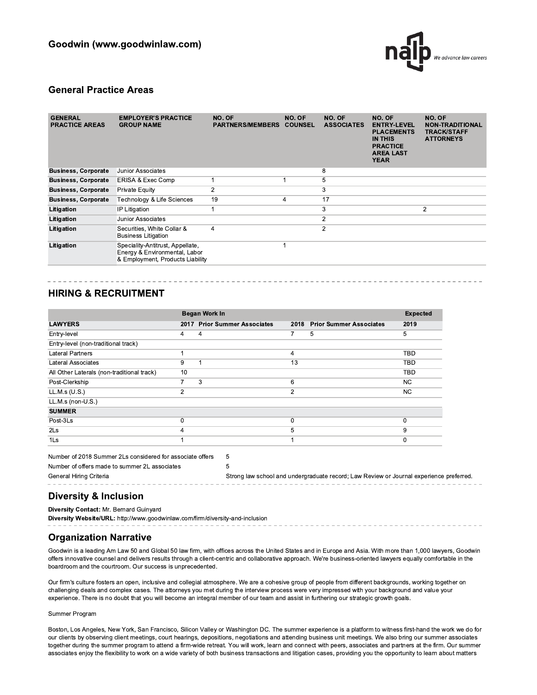

#### **General Practice Areas**

| <b>GENERAL</b><br><b>PRACTICE AREAS</b> | <b>EMPLOYER'S PRACTICE</b><br><b>GROUP NAME</b>                                                       | NO. OF<br><b>PARTNERS/MEMBERS</b> | NO. OF<br><b>COUNSEL</b> | NO. OF<br><b>ASSOCIATES</b> | NO. OF<br><b>ENTRY-LEVEL</b><br><b>PLACEMENTS</b><br><b>IN THIS</b><br><b>PRACTICE</b><br><b>AREA LAST</b><br><b>YEAR</b> | NO. OF<br><b>NON-TRADITIONAL</b><br><b>TRACK/STAFF</b><br><b>ATTORNEYS</b> |
|-----------------------------------------|-------------------------------------------------------------------------------------------------------|-----------------------------------|--------------------------|-----------------------------|---------------------------------------------------------------------------------------------------------------------------|----------------------------------------------------------------------------|
| <b>Business, Corporate</b>              | Junior Associates                                                                                     |                                   |                          | 8                           |                                                                                                                           |                                                                            |
| <b>Business, Corporate</b>              | ERISA & Exec Comp                                                                                     |                                   |                          | 5                           |                                                                                                                           |                                                                            |
| <b>Business, Corporate</b>              | <b>Private Equity</b>                                                                                 | 2                                 |                          | 3                           |                                                                                                                           |                                                                            |
| <b>Business, Corporate</b>              | Technology & Life Sciences                                                                            | 19                                | 4                        | 17                          |                                                                                                                           |                                                                            |
| Litigation                              | IP Litigation                                                                                         |                                   |                          | 3                           |                                                                                                                           | $\overline{2}$                                                             |
| Litigation                              | Junior Associates                                                                                     |                                   |                          | 2                           |                                                                                                                           |                                                                            |
| Litigation                              | Securities, White Collar &<br><b>Business Litigation</b>                                              | 4                                 |                          | 2                           |                                                                                                                           |                                                                            |
| Litigation                              | Speciality-Antitrust, Appellate,<br>Energy & Environmental, Labor<br>& Employment, Products Liability |                                   |                          |                             |                                                                                                                           |                                                                            |

### **HIRING & RECRUITMENT**

|                                            |    | Began Work In                |      |                                |            |  |  |
|--------------------------------------------|----|------------------------------|------|--------------------------------|------------|--|--|
| <b>LAWYERS</b>                             |    | 2017 Prior Summer Associates | 2018 | <b>Prior Summer Associates</b> | 2019       |  |  |
| Entry-level                                | 4  | 4                            | 7    | 5                              | 5          |  |  |
| Entry-level (non-traditional track)        |    |                              |      |                                |            |  |  |
| <b>Lateral Partners</b>                    |    |                              | 4    |                                | <b>TBD</b> |  |  |
| Lateral Associates                         | 9  |                              | 13   |                                | <b>TBD</b> |  |  |
| All Other Laterals (non-traditional track) | 10 |                              |      |                                | <b>TBD</b> |  |  |
| Post-Clerkship                             |    | 3                            | 6    |                                | NC.        |  |  |
| LL.M.s (U.S.)                              | 2  |                              | 2    |                                | NC.        |  |  |
| LL.M.s (non-U.S.)                          |    |                              |      |                                |            |  |  |
| <b>SUMMER</b>                              |    |                              |      |                                |            |  |  |
| Post-3Ls                                   | 0  |                              | 0    |                                | 0          |  |  |
| 2 <sub>ls</sub>                            | 4  |                              | 5    |                                | 9          |  |  |
| 1 <sub>ls</sub>                            |    |                              | 4    |                                | 0          |  |  |

Number of offers made to summer 2L associates 5 General Hiring Criteria Strong law school and undergraduate record; Law Review or Journal experience preferred.

## **Diversity & Inclusion**

Diversity Contact: Mr. Bernard Guinyard

Diversity Website/URL: http://www.goodwinlaw.com/firm/diversity-and-inclusion

#### **Organization Narrative**

Goodwin is a leading Am Law 50 and Global 50 law firm, with offices across the United States and in Europe and Asia. With more than 1,000 lawyers, Goodwin offers innovative counsel and delivers results through a client-centric and collaborative approach. We're business-oriented lawyers equally comfortable in the boardroom and the courtroom. Our success is unprecedented.

Our firm's culture fosters an open, inclusive and collegial atmosphere. We are a cohesive group of people from different backgrounds, working together on challenging deals and complex cases. The attorneys you met during the interview process were very impressed with your background and value your experience. There is no doubt that you will become an integral member of our team and assist in furthering our strategic growth goals.

#### Summer Program

Boston, Los Angeles, New York, San Francisco, Silicon Valley or Washington DC. The summer experience is a platform to witness first-hand the work we do for our clients by observing client meetings, court hearings, depositions, negotiations and attending business unit meetings. We also bring our summer associates together during the summer program to attend a firm-wide retreat. You will work, learn and connect with peers, associates and partners at the firm. Our summer associates enjoy the flexibility to work on a wide variety of both business transactions and litigation cases, providing you the opportunity to learn about matters